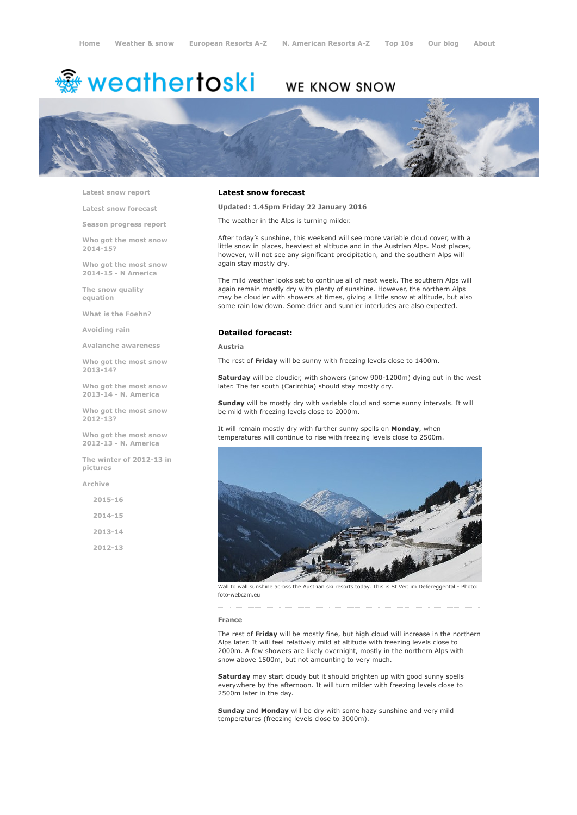# <sup>霧</sup> weathertoski

## WE KNOW SNOW



Latest snow [report](http://www.weathertoski.co.uk/weather-snow/latest-snow-report/)

Latest snow [forecast](http://www.weathertoski.co.uk/weather-snow/latest-snow-forecast/)

Season [progress](http://www.weathertoski.co.uk/weather-snow/season-progress-report/) report

Who got the most snow 2014-15?

Who got the most snow 2014-15 - N America

The snow quality [equation](http://www.weathertoski.co.uk/weather-snow/the-snow-quality-equation/)

What is the [Foehn?](http://www.weathertoski.co.uk/weather-snow/what-is-the-foehn/)

[Avoiding](http://www.weathertoski.co.uk/weather-snow/avoiding-rain/) rain

Avalanche [awareness](http://www.weathertoski.co.uk/weather-snow/avalanche-awareness/)

Who got the most snow 2013-14?

Who got the most snow 2013-14 - N. America

Who got the most snow 2012-13?

Who got the most snow 2012-13 - N. America

The winter of 2012-13 in pictures

[Archive](http://www.weathertoski.co.uk/weather-snow/archive/)

2015-16 2014-15 2013-14

2012-13

#### Latest snow forecast

Updated: 1.45pm Friday 22 January 2016

The weather in the Alps is turning milder.

After today's sunshine, this weekend will see more variable cloud cover, with a little snow in places, heaviest at altitude and in the Austrian Alps. Most places, however, will not see any significant precipitation, and the southern Alps will again stay mostly dry.

The mild weather looks set to continue all of next week. The southern Alps will again remain mostly dry with plenty of sunshine. However, the northern Alps may be cloudier with showers at times, giving a little snow at altitude, but also some rain low down. Some drier and sunnier interludes are also expected.

Detailed forecast:

Austria

The rest of Friday will be sunny with freezing levels close to 1400m.

Saturday will be cloudier, with showers (snow 900-1200m) dying out in the west later. The far south (Carinthia) should stay mostly dry.

Sunday will be mostly dry with variable cloud and some sunny intervals. It will be mild with freezing levels close to 2000m.

It will remain mostly dry with further sunny spells on Monday, when temperatures will continue to rise with freezing levels close to 2500m.



Wall to wall sunshine across the Austrian ski resorts today. This is St Veit im Defereggental - Photo: foto-webcam.eu

#### France

The rest of Friday will be mostly fine, but high cloud will increase in the northern Alps later. It will feel relatively mild at altitude with freezing levels close to 2000m. A few showers are likely overnight, mostly in the northern Alps with snow above 1500m, but not amounting to very much.

Saturday may start cloudy but it should brighten up with good sunny spells everywhere by the afternoon. It will turn milder with freezing levels close to 2500m later in the day.

Sunday and Monday will be dry with some hazy sunshine and very mild temperatures (freezing levels close to 3000m).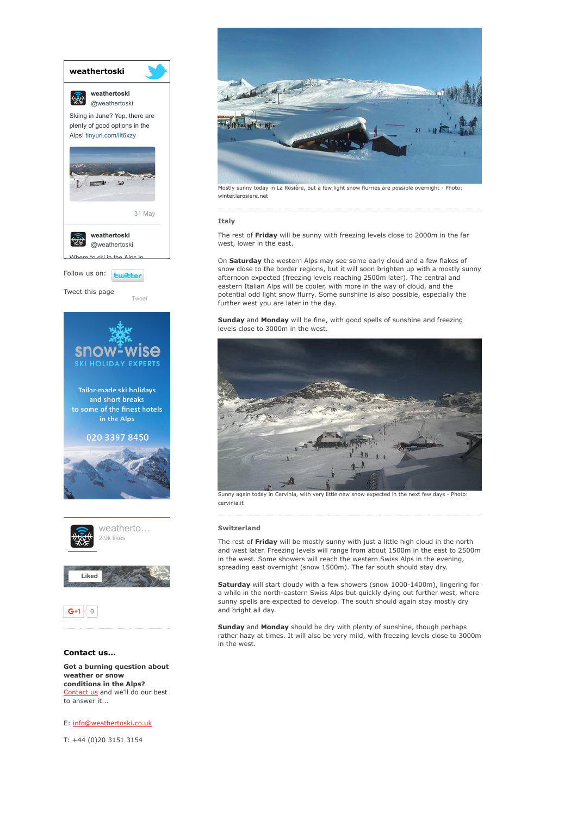

[Contact](http://www.weathertoski.co.uk/about-1/contact-us/) us and we'll do our best to answer it...

E: [info@weathertoski.co.uk](mailto:fraser@weathertoski.co.uk)

T: +44 (0)20 3151 3154



Mostly sunny today in La Rosière, but a few light snow flurries are possible overnight - Photo: winter.larosiere.net

#### **Italy**

The rest of Friday will be sunny with freezing levels close to 2000m in the far west, lower in the east.

On Saturday the western Alps may see some early cloud and a few flakes of snow close to the border regions, but it will soon brighten up with a mostly sunny afternoon expected (freezing levels reaching 2500m later). The central and eastern Italian Alps will be cooler, with more in the way of cloud, and the potential odd light snow flurry. Some sunshine is also possible, especially the further west you are later in the day.

Sunday and Monday will be fine, with good spells of sunshine and freezing levels close to 3000m in the west.



Sunny again today in Cervinia, with very little new snow expected in the next few days - Photo: cervinia.it

#### Switzerland

The rest of Friday will be mostly sunny with just a little high cloud in the north and west later. Freezing levels will range from about 1500m in the east to 2500m in the west. Some showers will reach the western Swiss Alps in the evening, spreading east overnight (snow 1500m). The far south should stay dry.

Saturday will start cloudy with a few showers (snow 1000-1400m), lingering for a while in the north-eastern Swiss Alps but quickly dying out further west, where sunny spells are expected to develop. The south should again stay mostly dry and bright all day.

Sunday and Monday should be dry with plenty of sunshine, though perhaps rather hazy at times. It will also be very mild, with freezing levels close to 3000m in the west.